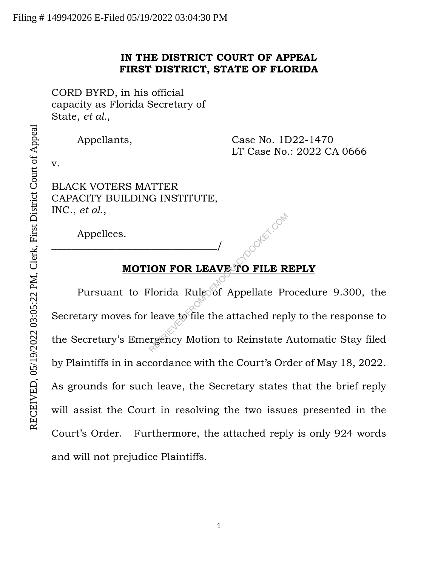## **IN THE DISTRICT COURT OF APPEAL FIRST DISTRICT, STATE OF FLORIDA**

CORD BYRD, in his official capacity as Florida Secretary of State, *et al.*,

Appellants, Case No. 1D22-1470 LT Case No.: 2022 CA 0666

v.

BLACK VOTERS MATTER CAPACITY BUILDING INSTITUTE, INC., *et al*.,

\_\_\_\_\_\_\_\_\_\_\_\_\_\_\_\_\_\_\_\_\_\_\_\_\_\_\_\_\_\_\_\_\_/

Appellees.

# **MOTION FOR LEAVE TO FILE REPLY**

Pursuant to Florida Rule of Appellate Procedure 9.300, the Secretary moves for leave to file the attached reply to the response to the Secretary's Emergency Motion to Reinstate Automatic Stay filed by Plaintiffs in in accordance with the Court's Order of May 18, 2022. As grounds for such leave, the Secretary states that the brief reply will assist the Court in resolving the two issues presented in the Court's Order. Furthermore, the attached reply is only 924 words and will not prejudice Plaintiffs. **EXAMPLE PROPER COMPOR LEAVE TO FILE R**<br>Plorida Rule of Appellate Pr<br>leave to file the attached repiergency Motion to Reinstate A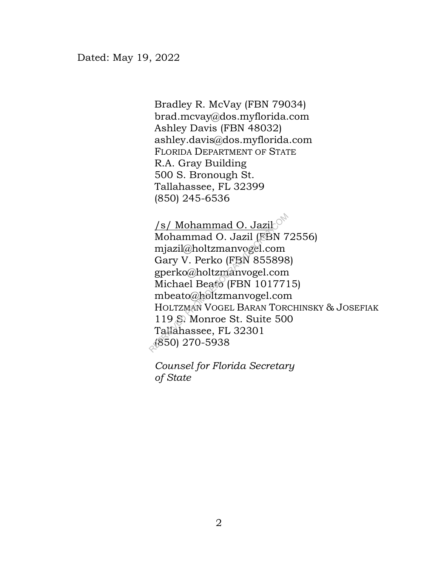Bradley R. McVay (FBN 79034) brad.mcvay@dos.myflorida.com Ashley Davis (FBN 48032) ashley.davis@dos.myflorida.com FLORIDA DEPARTMENT OF STATE R.A. Gray Building 500 S. Bronough St. Tallahassee, FL 32399 (850) 245-6536

<u>/s/ Mohammad O. Jazil</u> Mohammad O. Jazil (FBN 72556) mjazil@holtzmanvogel.com Gary V. Perko (FBN 855898) gperko@holtzmanvogel.com Michael Beato (FBN 1017715) mbeato@holtzmanvogel.com HOLTZMAN VOGEL BARAN TORCHINSKY & JOSEFIAK 119 S. Monroe St. Suite 500 Tallahassee, FL 32301 (850) 270-5938  $\frac{1}{8}$ /Mohammad O. Jazil<br>Mohammad O. Jazil (FBN 7<br>mjazil@holtzmanvogel.com<br>Gary V. Perko (FBN 855898<br>gperko@holtzmanvogel.com<br>Michael Beato (FBN 101771<br>mbeato@holtzmanvogel.com<br>HOLTZMAN VOGEL BARAN TOR<br>119 S. Monroe St

*of State Counsel for Florida Secretary*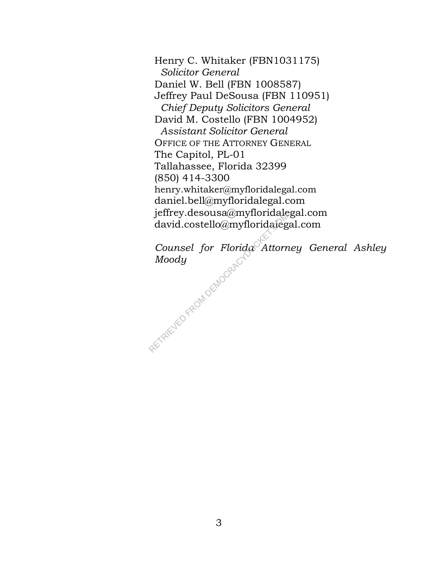Henry C. Whitaker (FBN1031175)  *Solicitor General* Daniel W. Bell (FBN 1008587) Jeffrey Paul DeSousa (FBN 110951)  *Chief Deputy Solicitors General* David M. Costello (FBN 1004952)  *Assistant Solicitor General* OFFICE OF THE ATTORNEY GENERAL The Capitol, PL-01 Tallahassee, Florida 32399 (850) 414-3300 henry.whitaker@myfloridalegal.com daniel.bell@myfloridalegal.com jeffrey.desousa@myfloridalegal.com david.costello@myfloridalegal.com

*Counsel for Florida Attorney General Ashley Moody* david.costello@myfloridaleg<br>Counsel for Florida Attorn<br>Moody

3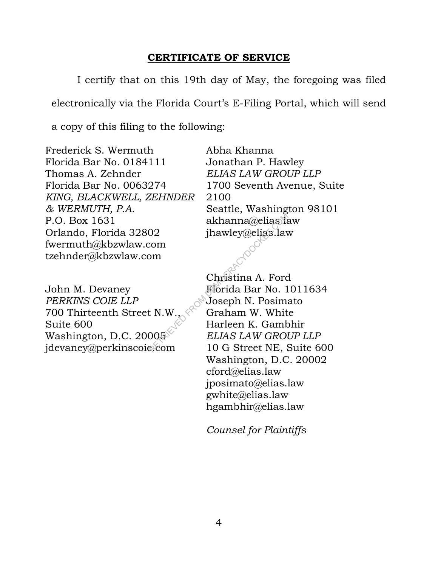## **CERTIFICATE OF SERVICE**

I certify that on this 19th day of May, the foregoing was filed electronically via the Florida Court's E-Filing Portal, which will send

a copy of this filing to the following:

Frederick S. Wermuth Florida Bar No. 0184111 Thomas A. Zehnder Florida Bar No. 0063274 *KING, BLACKWELL, ZEHNDER & WERMUTH, P.A.* P.O. Box 1631 Orlando, Florida 32802 fwermuth@kbzwlaw.com tzehnder@kbzwlaw.com

Abha Khanna Jonathan P. Hawley *ELIAS LAW GROUP LLP* 1700 Seventh Avenue, Suite 2100 Seattle, Washington 98101 akhanna@elias.law jhawley@elias.law

John M. Devaney *PERKINS COIE LLP* 700 Thirteenth Street N.W., Suite 600 Washington, D.C. 20005 jdevaney@perkinscoie.com

Christina A. Ford Florida Bar No. 1011634 Joseph N. Posimato Graham W. White Harleen K. Gambhir *ELIAS LAW GROUP LLP* 10 G Street NE, Suite 600 Washington, D.C. 20002 cford@elias.law jposimato@elias.law gwhite@elias.law hgambhir@elias.law RETRIEVED FROM DEMOCRACYDOCKET.COM

*Counsel for Plaintiffs*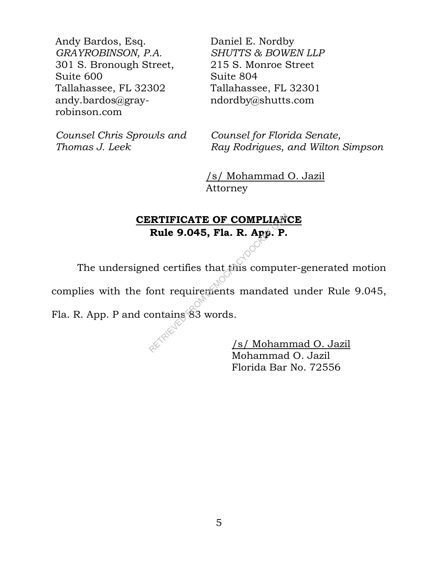Andy Bardos, Esq. *GRAYROBINSON, P.A.*  301 S. Bronough Street, Suite 600 Tallahassee, FL 32302 andy.bardos@grayrobinson.com

*Counsel Chris Sprowls and Thomas J. Leek* 

Daniel E. Nordby *SHUTTS & BOWEN LLP*  215 S. Monroe Street Suite 804 Tallahassee, FL 32301 ndordby@shutts.com

*Counsel for Florida Senate, Ray Rodrigues, and Wilton Simpson* 

 /s/ Mohammad O. Jazil Attorney

# **CERTIFICATE OF COMPLIANCE Rule 9.045, Fla. R. App. P.**

The undersigned certifies that this computer-generated motion complies with the font requirements mandated under Rule 9.045, Rule 9.045, Fla. R. App. P.<br>ed certifies that this compute<br>ont requirements mandated<br>ontains 83 words.<br> $\frac{1}{25}$ 

Fla. R. App. P and contains 83 words.

 /s/ Mohammad O. Jazil Mohammad O. Jazil Florida Bar No. 72556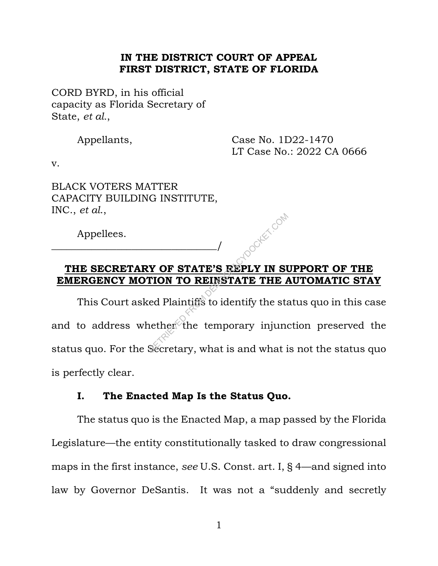#### **IN THE DISTRICT COURT OF APPEAL FIRST DISTRICT, STATE OF FLORIDA**

CORD BYRD, in his official capacity as Florida Secretary of State, *et al.*,

Appellants, Case No. 1D22-1470 LT Case No.: 2022 CA 0666

v.

BLACK VOTERS MATTER CAPACITY BUILDING INSTITUTE, INC., *et al*.,

\_\_\_\_\_\_\_\_\_\_\_\_\_\_\_\_\_\_\_\_\_\_\_\_\_\_\_\_\_\_\_\_\_/

Appellees.

## **THE SECRETARY OF STATE'S REPLY IN SUPPORT OF THE EMERGENCY MOTION TO REINSTATE THE AUTOMATIC STAY**

This Court asked Plaintiffs to identify the status quo in this case and to address whether the temporary injunction preserved the status quo. For the Secretary, what is and what is not the status quo is perfectly clear. **POF STATE'S REPLY IN STATE'S REPLY IN STATE THE A**<br>
RETRICAL PLAINTS TO REINSTATE THE A<br>
RETRICAL COMPANY CONTRACT COMPANY CONTRACT COMPANY CONTRACT CONTRACT CONTRACT CONTRACT CONTRACT CONTRACT CONTRACT CONTRACT CONTRACT

## **I. The Enacted Map Is the Status Quo.**

The status quo is the Enacted Map, a map passed by the Florida Legislature—the entity constitutionally tasked to draw congressional maps in the first instance, *see* U.S. Const. art. I, § 4—and signed into law by Governor DeSantis. It was not a "suddenly and secretly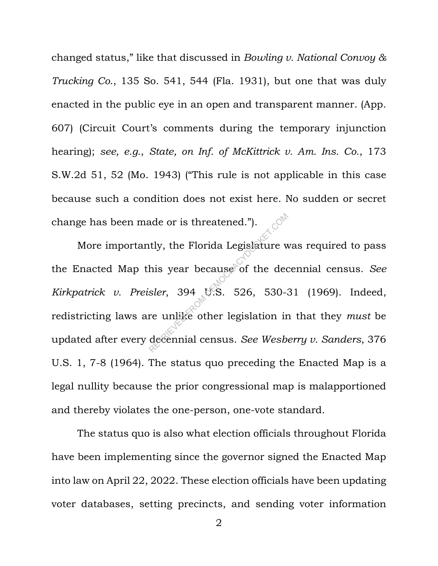changed status," like that discussed in *Bowling v. National Convoy & Trucking Co*., 135 So. 541, 544 (Fla. 1931), but one that was duly enacted in the public eye in an open and transparent manner. (App. 607) (Circuit Court's comments during the temporary injunction hearing); *see, e.g.*, *State, on Inf. of McKittrick v. Am. Ins. Co.*, 173 S.W.2d 51, 52 (Mo. 1943) ("This rule is not applicable in this case because such a condition does not exist here. No sudden or secret change has been made or is threatened.").

More importantly, the Florida Legislature was required to pass the Enacted Map this year because of the decennial census. *See Kirkpatrick v. Preisler*, 394 U.S. 526, 530-31 (1969). Indeed, redistricting laws are unlike other legislation in that they *must* be updated after every decennial census. *See Wesberry v. Sanders*, 376 U.S. 1, 7-8 (1964). The status quo preceding the Enacted Map is a legal nullity because the prior congressional map is malapportioned and thereby violates the one-person, one-vote standard. ade or is threatened.").<br>
Itly, the Florida Legislature w<br>
his year because of the dec<br>
sler, 394 U.S. 526, 530-3<br>
re unlike other legislation in<br>
decennial census. See Wesb

The status quo is also what election officials throughout Florida have been implementing since the governor signed the Enacted Map into law on April 22, 2022. These election officials have been updating voter databases, setting precincts, and sending voter information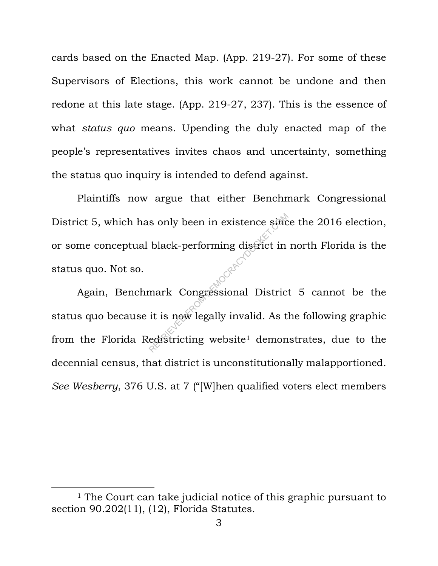cards based on the Enacted Map. (App. 219-27). For some of these Supervisors of Elections, this work cannot be undone and then redone at this late stage. (App. 219-27, 237). This is the essence of what *status quo* means. Upending the duly enacted map of the people's representatives invites chaos and uncertainty, something the status quo inquiry is intended to defend against.

Plaintiffs now argue that either Benchmark Congressional District 5, which has only been in existence since the 2016 election, or some conceptual black-performing district in north Florida is the status quo. Not so.

Again, Benchmark Congressional District 5 cannot be the status quo because it is now legally invalid. As the following graphic from the Florida Redistricting website<sup>1</sup> demonstrates, due to the decennial census, that district is unconstitutionally malapportioned. *See Wesberry*, 376 U.S. at 7 ("[W]hen qualified voters elect members S only been in existence since<br>black-performing district in<br>mark Congressional District<br>it is now legally invalid. As the<br>edistricting website<sup>1</sup> demon

<sup>&</sup>lt;sup>1</sup> The Court can take judicial notice of this graphic pursuant to section 90.202(11), (12), Florida Statutes.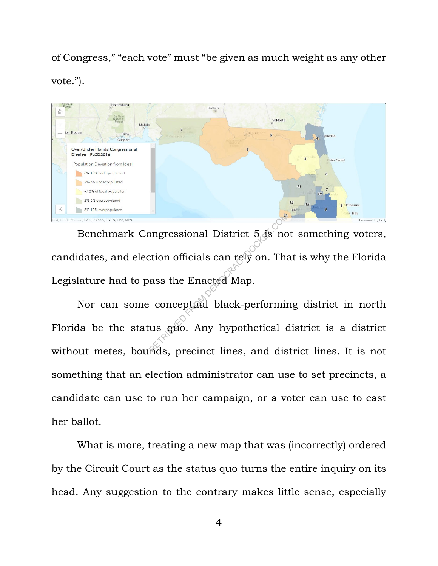of Congress," "each vote" must "be given as much weight as any other vote.").



Benchmark Congressional District 5 is not something voters, candidates, and election officials can rely on. That is why the Florida Legislature had to pass the Enacted Map. Ingressional District 5 as no<br>
extion officials can rely on. The<br>
ass the Enacted Map.<br>
conceptual black-performing us quo. Any hypothetical completes

Nor can some conceptual black-performing district in north Florida be the status quo. Any hypothetical district is a district without metes, bounds, precinct lines, and district lines. It is not something that an election administrator can use to set precincts, a candidate can use to run her campaign, or a voter can use to cast her ballot.

What is more, treating a new map that was (incorrectly) ordered by the Circuit Court as the status quo turns the entire inquiry on its head. Any suggestion to the contrary makes little sense, especially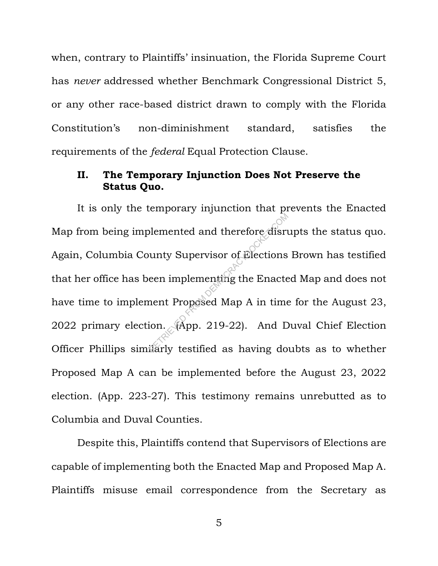when, contrary to Plaintiffs' insinuation, the Florida Supreme Court has *never* addressed whether Benchmark Congressional District 5, or any other race-based district drawn to comply with the Florida Constitution's non-diminishment standard, satisfies the requirements of the *federal* Equal Protection Clause.

## **II. The Temporary Injunction Does Not Preserve the Status Quo.**

It is only the temporary injunction that prevents the Enacted Map from being implemented and therefore disrupts the status quo. Again, Columbia County Supervisor of Elections Brown has testified that her office has been implementing the Enacted Map and does not have time to implement Proposed Map A in time for the August 23, 2022 primary election. (App. 219-22). And Duval Chief Election Officer Phillips similarly testified as having doubts as to whether Proposed Map A can be implemented before the August 23, 2022 election. (App. 223-27). This testimony remains unrebutted as to Columbia and Duval Counties. Demented and therefore disrues<br>
unty Supervisor of Elections<br>
een implementing the Enacte<br>
nent Proposed Map A in time<br>
ion. (App. 219-22). And D<br>
idarly testified as having do

Despite this, Plaintiffs contend that Supervisors of Elections are capable of implementing both the Enacted Map and Proposed Map A. Plaintiffs misuse email correspondence from the Secretary as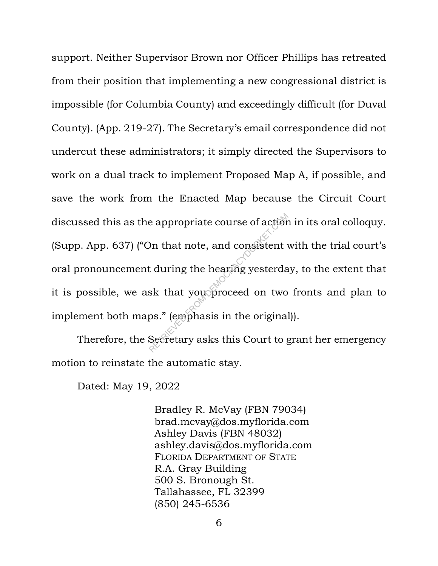support. Neither Supervisor Brown nor Officer Phillips has retreated from their position that implementing a new congressional district is impossible (for Columbia County) and exceedingly difficult (for Duval County). (App. 219-27). The Secretary's email correspondence did not undercut these administrators; it simply directed the Supervisors to work on a dual track to implement Proposed Map A, if possible, and save the work from the Enacted Map because the Circuit Court discussed this as the appropriate course of action in its oral colloquy. (Supp. App. 637) ("On that note, and consistent with the trial court's oral pronouncement during the hearing yesterday, to the extent that it is possible, we ask that you proceed on two fronts and plan to implement both maps." (emphasis in the original)). e appropriate course of action<br>
) n that note, and consistent<br>
t during the hearing yesterda<br>
sk that you proceed on two<br>
ps." (emphasis in the original<br>
Secretary asks this Court to a

Therefore, the Secretary asks this Court to grant her emergency motion to reinstate the automatic stay.

Dated: May 19, 2022

Bradley R. McVay (FBN 79034) brad.mcvay@dos.myflorida.com Ashley Davis (FBN 48032) ashley.davis@dos.myflorida.com FLORIDA DEPARTMENT OF STATE R.A. Gray Building 500 S. Bronough St. Tallahassee, FL 32399 (850) 245-6536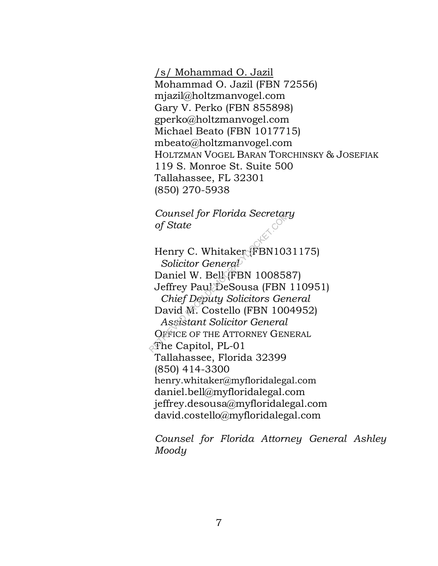/s/ Mohammad O. Jazil Mohammad O. Jazil (FBN 72556) mjazil@holtzmanvogel.com Gary V. Perko (FBN 855898) gperko@holtzmanvogel.com Michael Beato (FBN 1017715) mbeato@holtzmanvogel.com HOLTZMAN VOGEL BARAN TORCHINSKY & JOSEFIAK 119 S. Monroe St. Suite 500 Tallahassee, FL 32301 (850) 270-5938

*of State Counsel for Florida Secretary* 

Henry C. Whitaker (FBN1031175)  *Solicitor General* Daniel W. Bell (FBN 1008587) Jeffrey Paul DeSousa (FBN 110951)  *Chief Deputy Solicitors General* David M. Costello (FBN 1004952)  *Assistant Solicitor General* OFFICE OF THE ATTORNEY GENERAL  $\mathcal{F}$ he Capitol, PL-01 Tallahassee, Florida 32399 (850) 414-3300 henry.whitaker@myfloridalegal.com daniel.bell@myfloridalegal.com jeffrey.desousa@myfloridalegal.com david.costello@myfloridalegal.com Counset for Fiorial Secretar<br>of State<br>Henry C. Whitaker (FBN103<br>Solicitor General<br>Daniel W. Bell (FBN 100858<br>Jeffrey Paul DeSousa (FBN<br>Chief Deputy Solicitors General<br>David M. Costello (FBN 100<br>Assistant Solicitor General<br>

*Counsel for Florida Attorney General Ashley Moody*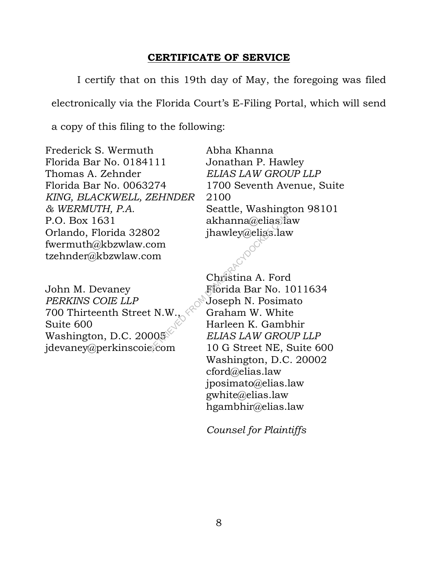## **CERTIFICATE OF SERVICE**

I certify that on this 19th day of May, the foregoing was filed electronically via the Florida Court's E-Filing Portal, which will send

a copy of this filing to the following:

Frederick S. Wermuth Florida Bar No. 0184111 Thomas A. Zehnder Florida Bar No. 0063274 *KING, BLACKWELL, ZEHNDER & WERMUTH, P.A.* P.O. Box 1631 Orlando, Florida 32802 fwermuth@kbzwlaw.com tzehnder@kbzwlaw.com

John M. Devaney *PERKINS COIE LLP* 700 Thirteenth Street N.W., Suite 600 Washington, D.C. 20005 jdevaney@perkinscoie.com

Abha Khanna Jonathan P. Hawley *ELIAS LAW GROUP LLP* 1700 Seventh Avenue, Suite 2100 Seattle, Washington 98101 akhanna@elias.law jhawley@elias.law

Christina A. Ford Florida Bar No. 1011634 Joseph N. Posimato Graham W. White Harleen K. Gambhir *ELIAS LAW GROUP LLP* 10 G Street NE, Suite 600 Washington, D.C. 20002 cford@elias.law jposimato@elias.law gwhite@elias.law hgambhir@elias.law RETRIEVED FROM DEMOCRACYDOCKET.COM

*Counsel for Plaintiffs*